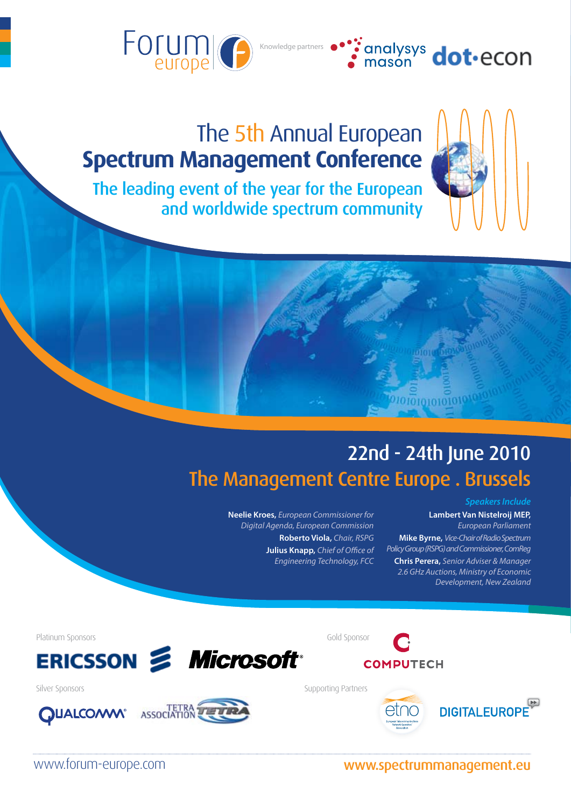



# The 5th Annual European **Spectrum Management Conference**

The leading event of the year for the European and worldwide spectrum community

**Spectrum Management Conference** 



**Neelie Kroes,** *European Commissioner for Digital Agenda, European Commission* **Roberto Viola,** *Chair, RSPG* **Julius Knapp,** *Chief of Office of Engineering Technology, FCC*

The 5th Annual European Company

#### *Speakers Include*

#### **Lambert Van Nistelroij MEP,**  *European Parliament* **Mike Byrne,** *Vice-Chair of Radio Spectrum Policy Group (RSPG) and Commissioner, ComReg* **Chris Perera,** *Senior Adviser & Manager 2.6 GHz Auctions, Ministry of Economic Development, New Zealand*

0101010101010

Platinum Sponsors Gold Sponsor





Silver Sponsors Supporting Partners Supporting Partners



www.forum-europe.com www.spectrummanagement.eu

**COMPUTECH**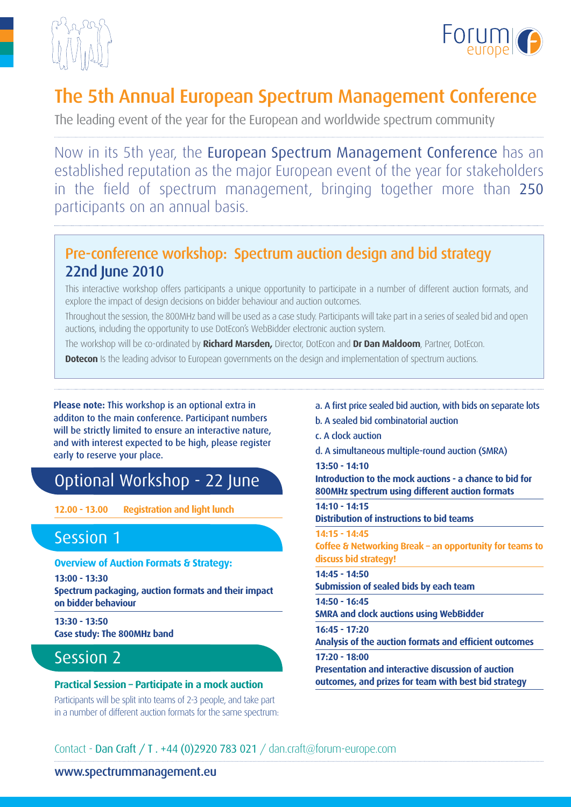



# The 5th Annual European Spectrum Management Conference

The leading event of the year for the European and worldwide spectrum community

Now in its 5th year, the European Spectrum Management Conference has an established reputation as the major European event of the year for stakeholders in the field of spectrum management, bringing together more than 250 participants on an annual basis.

## Pre-conference workshop: Spectrum auction design and bid strategy 22nd June 2010

This interactive workshop offers participants a unique opportunity to participate in a number of different auction formats, and explore the impact of design decisions on bidder behaviour and auction outcomes.

Throughout the session, the 800MHz band will be used as a case study. Participants will take part in a series of sealed bid and open auctions, including the opportunity to use DotEcon's WebBidder electronic auction system.

The workshop will be co-ordinated by **Richard Marsden,** Director, DotEcon and **Dr Dan Maldoom**, Partner, DotEcon.

**Dotecon** Is the leading advisor to European governments on the design and implementation of spectrum auctions.

**Please note:** This workshop is an optional extra in additon to the main conference. Participant numbers will be strictly limited to ensure an interactive nature, and with interest expected to be high, please register early to reserve your place.

## Optional Workshop - 22 June

**12.00 - 13.00 Registration and light lunch**

## Session 1

**Overview of Auction Formats & Strategy:**

**13:00 - 13:30 Spectrum packaging, auction formats and their impact on bidder behaviour**

**13:30 - 13:50 Case study: The 800MHz band**

## Session 2

### **Practical Session – Participate in a mock auction**

Participants will be split into teams of 2-3 people, and take part in a number of different auction formats for the same spectrum:

- a. A first price sealed bid auction, with bids on separate lots
- b. A sealed bid combinatorial auction
- c. A clock auction
- d. A simultaneous multiple-round auction (SMRA)

### **13:50 - 14:10**

**Introduction to the mock auctions - a chance to bid for 800MHz spectrum using different auction formats**

**14:10 - 14:15 Distribution of instructions to bid teams**

**14:15 - 14:45**

**Coffee & Networking Break – an opportunity for teams to discuss bid strategy!**

**14:45 - 14:50 Submission of sealed bids by each team**

**14:50 - 16:45 SMRA and clock auctions using WebBidder**

**16:45 - 17:20**

**Analysis of the auction formats and efficient outcomes** 

**17:20 - 18:00 Presentation and interactive discussion of auction outcomes, and prizes for team with best bid strategy**

Contact - Dan Craft / T . +44 (0)2920 783 021 / dan.craft@forum-europe.com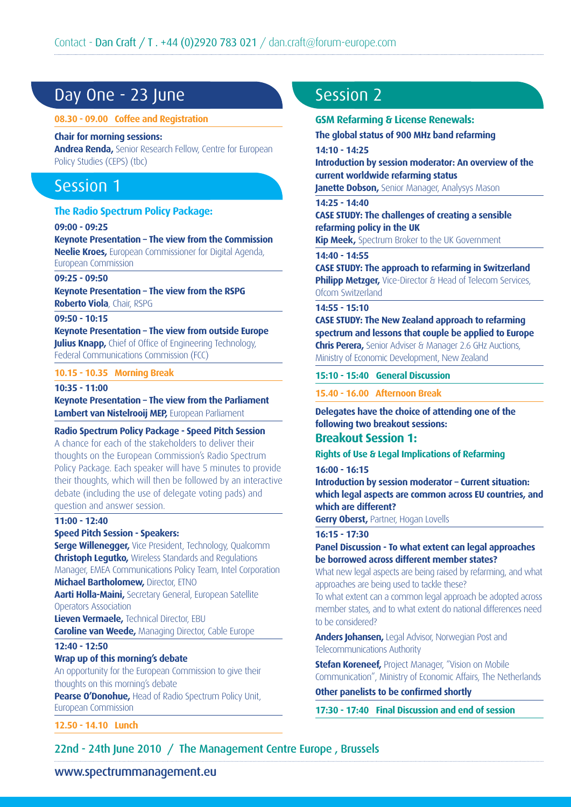## Day One - 23 June

#### **08.30 - 09.00 Coffee and Registration**

#### **Chair for morning sessions:**

**Andrea Renda,** Senior Research Fellow, Centre for European Policy Studies (CEPS) (tbc)

## Session 1

#### **The Radio Spectrum Policy Package:**

**09:00 - 09:25**

**Keynote Presentation – The view from the Commission Neelie Kroes,** European Commissioner for Digital Agenda, European Commission

#### **09:25 - 09:50**

**Keynote Presentation – The view from the RSPG Roberto Viola**, Chair, RSPG

#### **09:50 - 10:15**

**Keynote Presentation – The view from outside Europe Julius Knapp,** Chief of Office of Engineering Technology, Federal Communications Commission (FCC)

#### **10.15 - 10.35 Morning Break**

#### **10:35 - 11:00**

**Keynote Presentation – The view from the Parliament Lambert van Nistelrooij MEP,** European Parliament

#### **Radio Spectrum Policy Package - Speed Pitch Session**

A chance for each of the stakeholders to deliver their thoughts on the European Commission's Radio Spectrum Policy Package. Each speaker will have 5 minutes to provide their thoughts, which will then be followed by an interactive debate (including the use of delegate voting pads) and question and answer session.

#### **11:00 - 12:40**

#### **Speed Pitch Session - Speakers:**

**Serge Willenegger,** Vice President, Technology, Qualcomm **Christoph Legutko,** Wireless Standards and Regulations Manager, EMEA Communications Policy Team, Intel Corporation **Michael Bartholomew,** Director, ETNO

**Aarti Holla-Maini,** Secretary General, European Satellite Operators Association

**Lieven Vermaele,** Technical Director, EBU **Caroline van Weede,** Managing Director, Cable Europe

#### **12:40 - 12:50**

#### **Wrap up of this morning's debate**

An opportunity for the European Commission to give their thoughts on this morning's debate

**Pearse O'Donohue, Head of Radio Spectrum Policy Unit,** European Commission

**12.50 - 14.10 Lunch**

## Session 2

#### **GSM Refarming & License Renewals:**

**The global status of 900 MHz band refarming**

#### **14:10 - 14:25**

**Introduction by session moderator: An overview of the current worldwide refarming status**

**Janette Dobson, Senior Manager, Analysys Mason** 

#### **14:25 - 14:40**

**CASE STUDY: The challenges of creating a sensible refarming policy in the UK**

**Kip Meek,** Spectrum Broker to the UK Government

#### **14:40 - 14:55**

**CASE STUDY: The approach to refarming in Switzerland Philipp Metzger,** Vice-Director & Head of Telecom Services, Ofcom Switzerland

#### **14:55 - 15:10**

**CASE STUDY: The New Zealand approach to refarming spectrum and lessons that couple be applied to Europe Chris Perera,** Senior Adviser & Manager 2.6 GHz Auctions, Ministry of Economic Development, New Zealand

**15:10 - 15:40 General Discussion**

**15.40 - 16.00 Afternoon Break** 

### **Delegates have the choice of attending one of the following two breakout sessions:**

### **Breakout Session 1:**

#### **Rights of Use & Legal Implications of Refarming**

**16:00 - 16:15**

**Introduction by session moderator – Current situation: which legal aspects are common across EU countries, and which are different?**

**Gerry Oberst, Partner, Hogan Lovells** 

#### **16:15 - 17:30**

#### **Panel Discussion - To what extent can legal approaches be borrowed across different member states?**

What new legal aspects are being raised by refarming, and what approaches are being used to tackle these?

To what extent can a common legal approach be adopted across member states, and to what extent do national differences need to be considered?

**Anders Johansen,** Legal Advisor, Norwegian Post and Telecommunications Authority

**Stefan Koreneef,** Project Manager, "Vision on Mobile Communication", Ministry of Economic Affairs, The Netherlands

#### **Other panelists to be confirmed shortly**

**17:30 - 17:40 Final Discussion and end of session**

22nd - 24th June 2010 / The Management Centre Europe , Brussels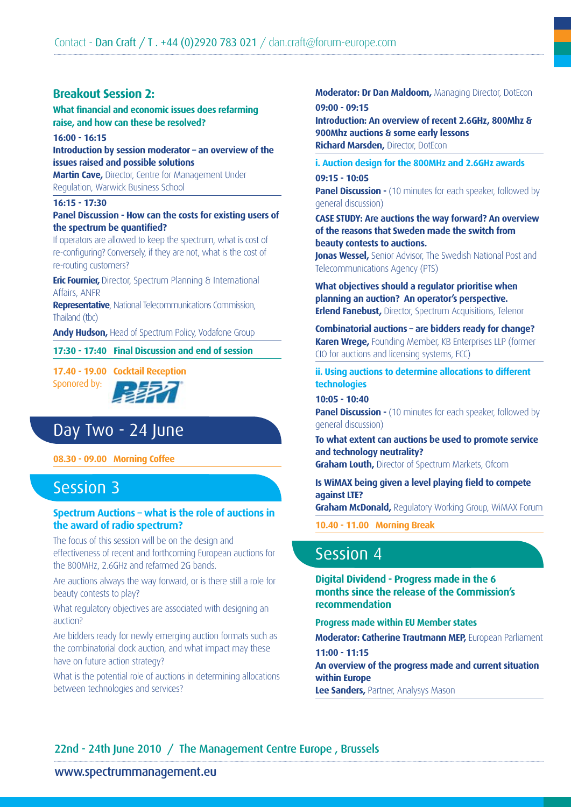## **Breakout Session 2:**

**What financial and economic issues does refarming raise, and how can these be resolved?**

#### **16:00 - 16:15**

**Introduction by session moderator – an overview of the issues raised and possible solutions**

**Martin Cave,** Director, Centre for Management Under Regulation, Warwick Business School

#### **16:15 - 17:30**

#### **Panel Discussion - How can the costs for existing users of the spectrum be quantified?**

If operators are allowed to keep the spectrum, what is cost of re-configuring? Conversely, if they are not, what is the cost of re-routing customers?

**Eric Fournier,** Director, Spectrum Planning & International Affairs, ANFR

**Representative**, National Telecommunications Commission, Thailand (tbc)

**Andy Hudson,** Head of Spectrum Policy, Vodafone Group

**17:30 - 17:40 Final Discussion and end of session**

**17.40 - 19.00 Cocktail Reception**  Sponored by:

## Day Two - 24 June

#### **08.30 - 09.00 Morning Coffee**

## Session 3

#### **Spectrum Auctions – what is the role of auctions in the award of radio spectrum?**

The focus of this session will be on the design and effectiveness of recent and forthcoming European auctions for the 800MHz, 2.6GHz and refarmed 2G bands.

Are auctions always the way forward, or is there still a role for beauty contests to play?

What regulatory objectives are associated with designing an auction?

Are bidders ready for newly emerging auction formats such as the combinatorial clock auction, and what impact may these have on future action strategy?

What is the potential role of auctions in determining allocations between technologies and services?

#### **Moderator: Dr Dan Maldoom,** Managing Director, DotEcon **09:00 - 09:15**

**Introduction: An overview of recent 2.6GHz, 800Mhz & 900Mhz auctions & some early lessons Richard Marsden,** Director, DotEcon

#### **i. Auction design for the 800MHz and 2.6GHz awards**

**09:15 - 10:05 Panel Discussion -** (10 minutes for each speaker, followed by general discussion)

**CASE STUDY: Are auctions the way forward? An overview of the reasons that Sweden made the switch from beauty contests to auctions.**

**Jonas Wessel,** Senior Advisor, The Swedish National Post and Telecommunications Agency (PTS)

**What objectives should a regulator prioritise when planning an auction? An operator's perspective. Erlend Fanebust,** Director, Spectrum Acquisitions, Telenor

**Combinatorial auctions – are bidders ready for change? Karen Wrege,** Founding Member, KB Enterprises LLP (former CIO for auctions and licensing systems, FCC)

**ii. Using auctions to determine allocations to different technologies**

**10:05 - 10:40**

**Panel Discussion -** (10 minutes for each speaker, followed by general discussion)

**To what extent can auctions be used to promote service and technology neutrality?**

**Graham Louth,** Director of Spectrum Markets, Ofcom

**Is WiMAX being given a level playing field to compete against LTE?**

**Graham McDonald,** Regulatory Working Group, WiMAX Forum

**10.40 - 11.00 Morning Break**

## Session 4

**Digital Dividend - Progress made in the 6 months since the release of the Commission's recommendation**

**Progress made within EU Member states**

**Moderator: Catherine Trautmann MEP,** European Parliament **11:00 - 11:15**

**An overview of the progress made and current situation within Europe**

**Lee Sanders,** Partner, Analysys Mason

### 22nd - 24th June 2010 / The Management Centre Europe , Brussels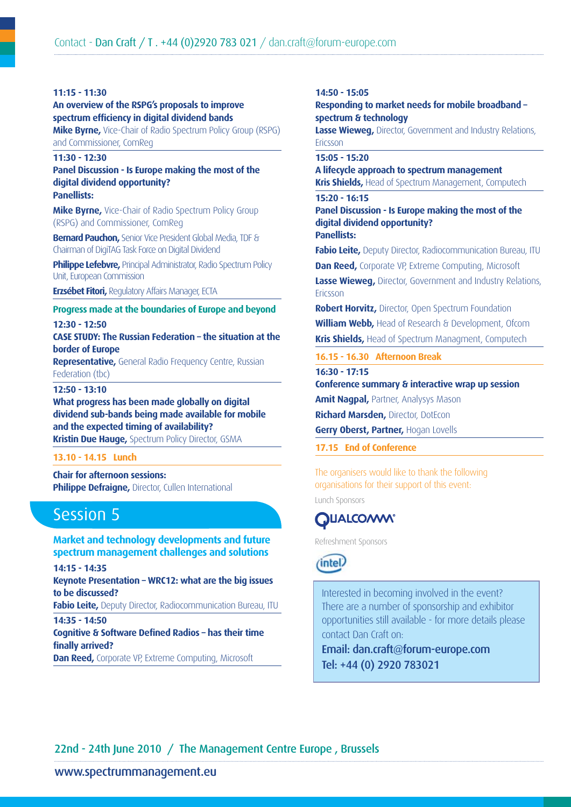#### **11:15 - 11:30**

**An overview of the RSPG's proposals to improve spectrum efficiency in digital dividend bands**

**Mike Byrne,** Vice-Chair of Radio Spectrum Policy Group (RSPG) and Commissioner, ComReg

#### **11:30 - 12:30**

#### **Panel Discussion - Is Europe making the most of the digital dividend opportunity? Panellists:**

**Mike Byrne,** Vice-Chair of Radio Spectrum Policy Group (RSPG) and Commissioner, ComReg

**Bernard Pauchon,** Senior Vice President Global Media, TDF & Chairman of DigiTAG Task Force on Digital Dividend

**Philippe Lefebvre, Principal Administrator, Radio Spectrum Policy** Unit, European Commission

**Erzsébet Fitori,** Regulatory Affairs Manager, ECTA

### **Progress made at the boundaries of Europe and beyond**

**12:30 - 12:50**

**CASE STUDY: The Russian Federation – the situation at the border of Europe**

**Representative,** General Radio Frequency Centre, Russian Federation (tbc)

#### **12:50 - 13:10**

**What progress has been made globally on digital dividend sub-bands being made available for mobile and the expected timing of availability? Kristin Due Hauge,** Spectrum Policy Director, GSMA

#### **13.10 - 14.15 Lunch**

**Chair for afternoon sessions: Philippe Defraigne, Director, Cullen International** 

## Session 5

### **Market and technology developments and future spectrum management challenges and solutions**

**14:15 - 14:35 Keynote Presentation – WRC12: what are the big issues to be discussed? Fabio Leite,** Deputy Director, Radiocommunication Bureau, ITU **14:35 - 14:50 Cognitive & Software Defined Radios – has their time finally arrived?**

**Dan Reed, Corporate VP, Extreme Computing, Microsoft** 

#### **14:50 - 15:05**

**Responding to market needs for mobile broadband – spectrum & technology**

**Lasse Wieweg,** Director, Government and Industry Relations, Ericsson

#### **15:05 - 15:20**

**A lifecycle approach to spectrum management Kris Shields,** Head of Spectrum Management, Computech

#### **15:20 - 16:15**

**Panel Discussion - Is Europe making the most of the digital dividend opportunity?** 

**Panellists:**

**Fabio Leite,** Deputy Director, Radiocommunication Bureau, ITU **Dan Reed, Corporate VP, Extreme Computing, Microsoft** 

**Lasse Wieweg,** Director, Government and Industry Relations, Ericsson

**Robert Horvitz,** Director, Open Spectrum Foundation **William Webb,** Head of Research & Development, Ofcom **Kris Shields,** Head of Spectrum Managment, Computech

**16.15 - 16.30 Afternoon Break**

**16:30 - 17:15**

**Conference summary & interactive wrap up session** 

**Amit Nagpal,** Partner, Analysys Mason

**Richard Marsden,** Director, DotEcon

**Gerry Oberst, Partner,** Hogan Lovells

**17.15 End of Conference**

The organisers would like to thank the following organisations for their support of this event:

Lunch Sponsors

## **DUALCOMM®**

Refreshment Sponsors



Interested in becoming involved in the event? There are a number of sponsorship and exhibitor opportunities still available - for more details please contact Dan Craft on:

Email: dan.craft@forum-europe.com Tel: +44 (0) 2920 783021

## 22nd - 24th June 2010 / The Management Centre Europe , Brussels